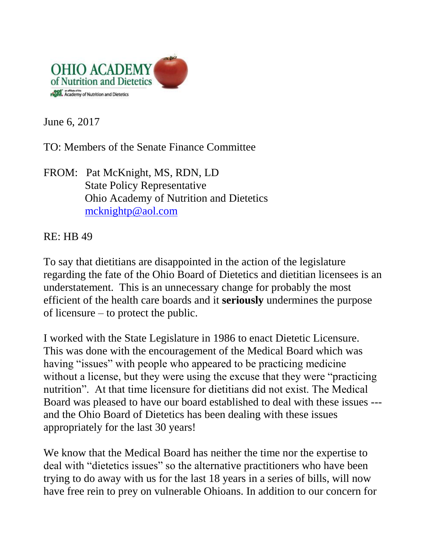

June 6, 2017

TO: Members of the Senate Finance Committee

FROM: Pat McKnight, MS, RDN, LD State Policy Representative Ohio Academy of Nutrition and Dietetics [mcknightp@aol.com](mailto:mcknightp@aol.com)

RE: HB 49

To say that dietitians are disappointed in the action of the legislature regarding the fate of the Ohio Board of Dietetics and dietitian licensees is an understatement. This is an unnecessary change for probably the most efficient of the health care boards and it **seriously** undermines the purpose of licensure – to protect the public.

I worked with the State Legislature in 1986 to enact Dietetic Licensure. This was done with the encouragement of the Medical Board which was having "issues" with people who appeared to be practicing medicine without a license, but they were using the excuse that they were "practicing nutrition". At that time licensure for dietitians did not exist. The Medical Board was pleased to have our board established to deal with these issues -- and the Ohio Board of Dietetics has been dealing with these issues appropriately for the last 30 years!

We know that the Medical Board has neither the time nor the expertise to deal with "dietetics issues" so the alternative practitioners who have been trying to do away with us for the last 18 years in a series of bills, will now have free rein to prey on vulnerable Ohioans. In addition to our concern for